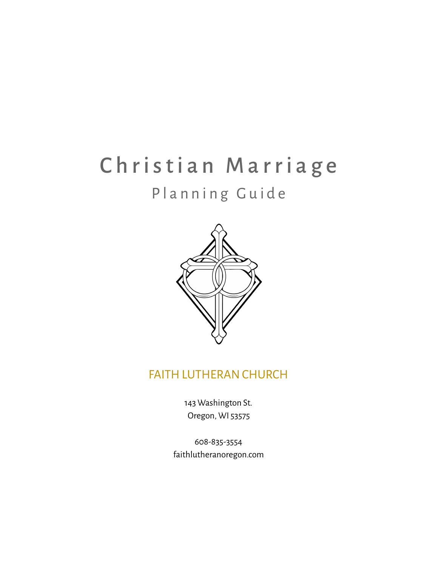# Christian Marriage

## Planning Guide



## FAITH LUTHERANCHURCH

143 Washington St. Oregon, WI 53575

608-835-3554 faithlutheranoregon.com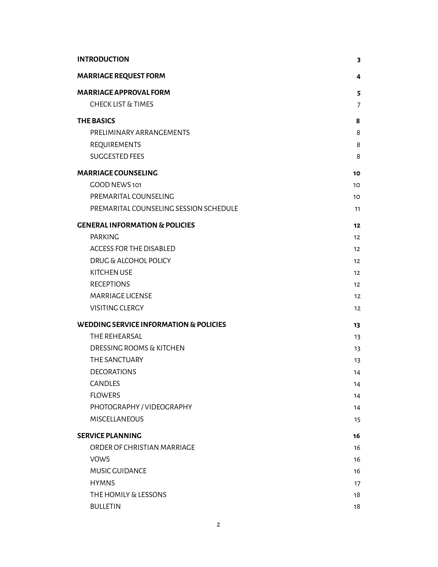| <b>INTRODUCTION</b>                               | 3                 |
|---------------------------------------------------|-------------------|
| <b>MARRIAGE REQUEST FORM</b>                      | 4                 |
| <b>MARRIAGE APPROVAL FORM</b>                     | 5                 |
| <b>CHECK LIST &amp; TIMES</b>                     | 7                 |
| <b>THE BASICS</b>                                 | 8                 |
| PRELIMINARY ARRANGEMENTS                          | 8                 |
| REQUIREMENTS                                      | 8                 |
| <b>SUGGESTED FEES</b>                             | 8                 |
| <b>MARRIAGE COUNSELING</b>                        | 10                |
| GOOD NEWS 101                                     | 10                |
| PREMARITAL COUNSELING                             | 10                |
| PREMARITAL COUNSELING SESSION SCHEDULE            | 11                |
| <b>GENERAL INFORMATION &amp; POLICIES</b>         | 12                |
| <b>PARKING</b>                                    | 12                |
| <b>ACCESS FOR THE DISABLED</b>                    | 12                |
| <b>DRUG &amp; ALCOHOL POLICY</b>                  | 12                |
| <b>KITCHEN USE</b>                                | 12                |
| <b>RECEPTIONS</b>                                 | 12                |
| <b>MARRIAGE LICENSE</b>                           | 12                |
| <b>VISITING CLERGY</b>                            | $12 \overline{ }$ |
| <b>WEDDING SERVICE INFORMATION &amp; POLICIES</b> | 13                |
| THE REHEARSAL                                     | 13                |
| <b>DRESSING ROOMS &amp; KITCHEN</b>               | 13                |
| THE SANCTUARY                                     | 13                |
| <b>DECORATIONS</b>                                | 14                |
| CANDLES                                           | 14                |
| <b>FLOWERS</b>                                    | 14                |
| PHOTOGRAPHY / VIDEOGRAPHY                         | 14                |
| <b>MISCELLANEOUS</b>                              | 15                |
| <b>SERVICE PLANNING</b>                           | 16                |
| ORDER OF CHRISTIAN MARRIAGE                       | 16                |
| <b>VOWS</b>                                       | 16                |
| MUSIC GUIDANCE                                    | 16                |
| <b>HYMNS</b>                                      | 17                |
| THE HOMILY & LESSONS                              | 18                |
| <b>BULLETIN</b>                                   | 18                |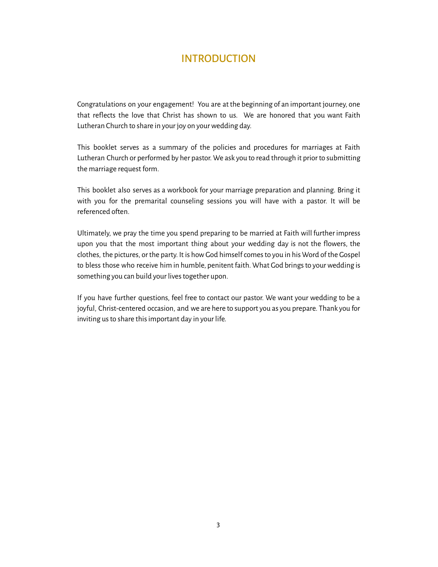## INTRODUCTION

<span id="page-2-0"></span>Congratulations on your engagement! You are at the beginning of an important journey, one that relects the love that Christ has shown to us. We are honored that you want Faith Lutheran Church to share in your joy on your wedding day.

This booklet serves as a summary of the policies and procedures for marriages at Faith Lutheran Church or performed by her pastor. We ask you to read through it prior to submitting the marriage request form.

This booklet also serves as a workbook for your marriage preparation and planning. Bring it with you for the premarital counseling sessions you will have with a pastor. It will be referenced often.

Ultimately, we pray the time you spend preparing to be married at Faith will further impress upon you that the most important thing about your wedding day is not the flowers, the clothes, the pictures, or the party. It is how God himself comes to you in his Word of the Gospel to bless those who receive him in humble, penitent faith. What God brings to your wedding is something you can build your lives together upon.

If you have further questions, feel free to contact our pastor. We want your wedding to be a joyful, Christ-centered occasion, and we are here to support you as you prepare. Thank you for inviting us to share this important day in your life.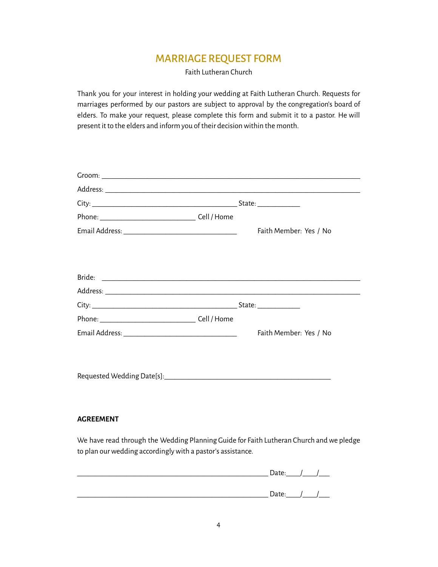## MARRIAGE REQUEST FORM

Faith Lutheran Church

<span id="page-3-0"></span>Thank you for your interest in holding your wedding at Faith Lutheran Church. Requests for marriages performed by our pastors are subject to approval by the congregation's board of elders. To make your request, please complete this form and submit it to a pastor. He will present it to the elders and inform you of their decision within the month.

| Faith Member: Yes / No |
|------------------------|
|                        |
|                        |
|                        |
|                        |
|                        |
|                        |
|                        |
|                        |
|                        |
|                        |
| Faith Member: Yes / No |
|                        |
|                        |
|                        |
|                        |

#### **AGREEMENT**

We have read through the Wedding Planning Guide for Faith Lutheran Church and we pledge to plan our wedding accordingly with a pastor's assistance.

| Date: | $\overline{1}$ |
|-------|----------------|
|       |                |
| Date: | $\overline{1}$ |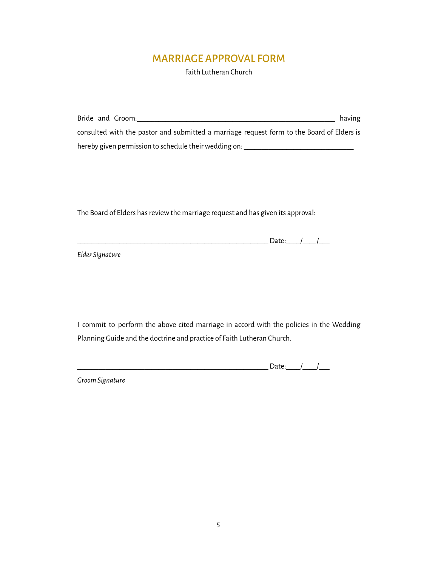## MARRIAGE APPROVAL FORM

Faith Lutheran Church

<span id="page-4-0"></span>

| Bride and Groom:                                                                          | having |
|-------------------------------------------------------------------------------------------|--------|
| consulted with the pastor and submitted a marriage request form to the Board of Elders is |        |
| hereby given permission to schedule their wedding on:                                     |        |

The Board of Elders has review the marriage request and has given its approval:

\_\_\_\_\_\_\_\_\_\_\_\_\_\_\_\_\_\_\_\_\_\_\_\_\_\_\_\_\_\_\_\_\_\_\_\_\_\_\_\_\_\_\_\_\_\_\_\_\_\_\_\_\_\_ Date:\_\_\_\_/\_\_\_\_/\_\_\_

*Elder Signature*

I commit to perform the above cited marriage in accord with the policies in the Wedding Planning Guide and the doctrine and practice of Faith Lutheran Church.

|  |  | <br>$\ddotsc$<br>- |  |  |
|--|--|--------------------|--|--|
|--|--|--------------------|--|--|

*Groom Signature*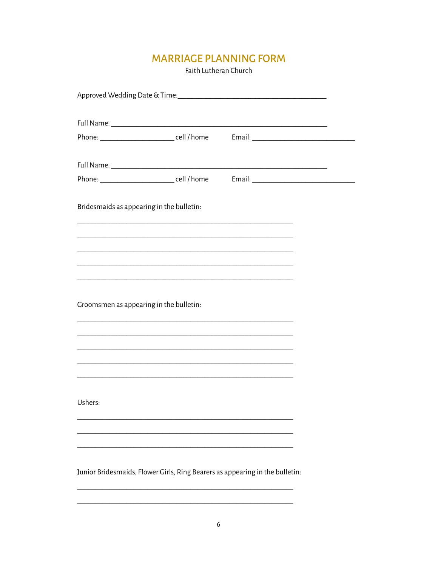## **MARRIAGE PLANNING FORM**

Faith Lutheran Church

| Phone: __________________________cell / home Fmail: ____________________________                                      |                                                                                           |  |
|-----------------------------------------------------------------------------------------------------------------------|-------------------------------------------------------------------------------------------|--|
|                                                                                                                       |                                                                                           |  |
|                                                                                                                       |                                                                                           |  |
| Phone: __________________________cell / home Fmail: ____________________________                                      |                                                                                           |  |
|                                                                                                                       |                                                                                           |  |
| Bridesmaids as appearing in the bulletin:                                                                             |                                                                                           |  |
|                                                                                                                       | the control of the control of the control of the control of the control of the control of |  |
| <u> 1989 - Johann John Harry, mars ar y brening ar y brening ar y brening ar y brening ar y brening ar y brening</u>  |                                                                                           |  |
| <u> 1989 - Johann Stoff, amerikansk politiker (d. 1989)</u>                                                           |                                                                                           |  |
|                                                                                                                       |                                                                                           |  |
|                                                                                                                       |                                                                                           |  |
|                                                                                                                       |                                                                                           |  |
| Groomsmen as appearing in the bulletin:                                                                               |                                                                                           |  |
|                                                                                                                       |                                                                                           |  |
|                                                                                                                       |                                                                                           |  |
| <u> 1989 - Johann Harry Harry Harry Harry Harry Harry Harry Harry Harry Harry Harry Harry Harry Harry Harry Harry</u> |                                                                                           |  |
|                                                                                                                       |                                                                                           |  |
|                                                                                                                       |                                                                                           |  |
|                                                                                                                       |                                                                                           |  |
| Ushers:                                                                                                               |                                                                                           |  |
|                                                                                                                       |                                                                                           |  |
|                                                                                                                       |                                                                                           |  |
|                                                                                                                       |                                                                                           |  |
|                                                                                                                       |                                                                                           |  |
| Junior Bridesmaids, Flower Girls, Ring Bearers as appearing in the bulletin:                                          |                                                                                           |  |
|                                                                                                                       |                                                                                           |  |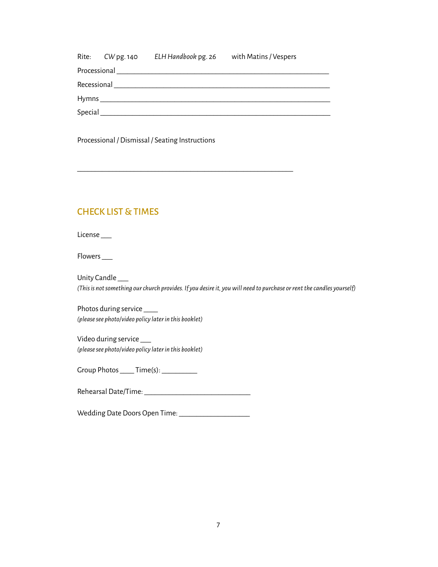|          | Rite: CW pg. 140 | ELH Handbook pg. 26                                                                                            | with Matins / Vespers |  |
|----------|------------------|----------------------------------------------------------------------------------------------------------------|-----------------------|--|
|          |                  | Processional Processional Processional Processional Processional Processional Processional Processional Proces |                       |  |
|          |                  |                                                                                                                |                       |  |
|          |                  |                                                                                                                |                       |  |
| Special_ |                  |                                                                                                                |                       |  |

\_\_\_\_\_\_\_\_\_\_\_\_\_\_\_\_\_\_\_\_\_\_\_\_\_\_\_\_\_\_\_\_\_\_\_\_\_\_\_\_\_\_\_\_\_\_\_\_\_\_\_\_\_\_\_\_\_\_\_\_\_

Processional / Dismissal / Seating Instructions

#### <span id="page-6-0"></span>CHECK LIST & TIMES

License\_

Flowers \_\_\_

Unity Candle \_\_\_ *(Thisis notsomething ourchurch provides. If you desireit, youwill need to purchase orrentthecandles yourself)*

Photos during service \_\_\_\_ *(pleasesee photo/video policy laterin this booklet)*

Video during service \_\_\_ *(pleasesee photo/video policy laterin this booklet)*

Group Photos \_\_\_\_\_ Time(s): \_\_\_\_\_\_\_\_\_\_\_

Rehearsal Date/Time: \_\_\_\_\_\_\_\_\_\_\_\_\_\_\_\_\_\_\_\_\_\_\_\_\_\_\_\_\_\_

Wedding Date Doors Open Time: \_\_\_\_\_\_\_\_\_\_\_\_\_\_\_\_\_\_\_\_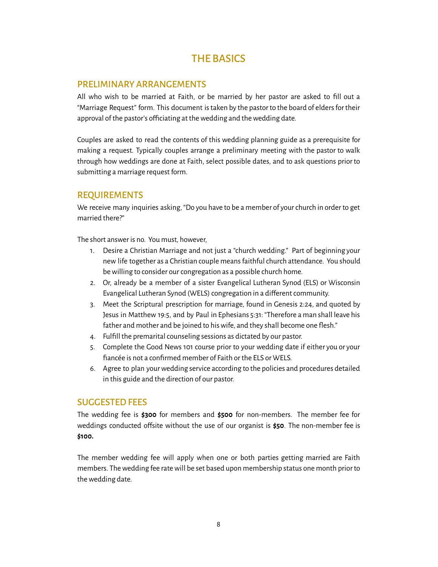## THE BASICS

#### <span id="page-7-1"></span><span id="page-7-0"></span>PRELIMINARY ARRANGEMENTS

All who wish to be married at Faith, or be married by her pastor are asked to fill out a "Marriage Request" form. This document istaken by the pastor to the board of eldersfor their approval of the pastor's officiating at the wedding and the wedding date.

Couples are asked to read the contents of this wedding planning guide as a prerequisite for making a request. Typically couples arrange a preliminary meeting with the pastor to walk through how weddings are done at Faith, select possible dates, and to ask questions prior to submitting a marriage request form.

#### <span id="page-7-2"></span>REQUIREMENTS

We receive many inquiries asking, "Do you have to be a member of your church in order to get married there?"

The short answer is no. You must, however,

- 1. Desire a Christian Marriage and not just a "church wedding." Part of beginning your new life together as a Christian couple meansfaithfulchurch attendance. You should be willing to consider our congregation as a possible church home.
- 2. Or, already be a member of a sister Evangelical Lutheran Synod (ELS) or Wisconsin Evangelical Lutheran Synod (WELS) congregation in a different community.
- 3. Meet the Scriptural prescription for marriage, found in Genesis 2:24, and quoted by Jesus in Matthew 19:5, and by Paul in Ephesians 5:31: "Therefore a man shall leave his father and mother and be joined to his wife, and they shall become one flesh."
- 4. Fulfill the premarital counseling sessions as dictated by our pastor.
- 5. Complete the Good News 101 course prior to your wedding date if either you or your fiancée is not a confirmed member of Faith or the ELS or WELS.
- 6. Agree to plan yourwedding service according to the policies and procedures detailed in this guide and the direction of our pastor.

#### <span id="page-7-3"></span>**SUGGESTED FEES**

The wedding fee is **\$300** for members and **\$500** for non-members. The member fee for weddings conducted ofsite without the use of our organist is **\$50**. The non-member fee is **\$100.**

The member wedding fee will apply when one or both parties getting married are Faith members. The wedding fee rate will be set based upon membership status one month prior to the wedding date.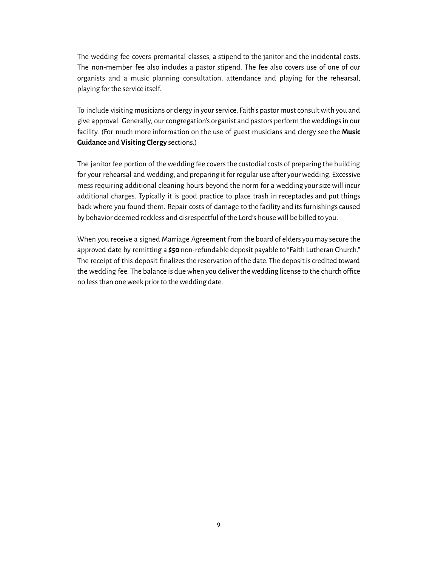The wedding fee covers premarital classes, a stipend to the janitor and the incidental costs. The non-member fee also includes a pastor stipend. The fee also covers use of one of our organists and a music planning consultation, attendance and playing for the rehearsal, playing for the service itself.

To include visiting musicians or clergy in your service, Faith's pastor must consult with you and give approval. Generally, our congregation's organist and pastors perform the weddings in our facility. (For much more information on the use of guest musicians and clergy see the **Music Guidance** and **Visiting Clergy** sections.)

The janitor fee portion of the wedding fee covers the custodial costs of preparing the building for your rehearsal and wedding, and preparing it for regular use after your wedding. Excessive mess requiring additional cleaning hours beyond the norm for a wedding yoursizewill incur additional charges. Typically it is good practice to place trash in receptacles and put things back where you found them. Repair costs of damage to the facility and its furnishings caused by behavior deemed reckless and disrespectful of the Lord's housewill be billed to you.

When you receive a signed Marriage Agreement from the board of elders you may secure the approved date by remitting a **\$50** non-refundable deposit payable to "Faith Lutheran Church." The receipt of this deposit finalizes the reservation of the date. The deposit is credited toward the wedding fee. The balance is due when you deliver the wedding license to the church office no less than one week prior to the wedding date.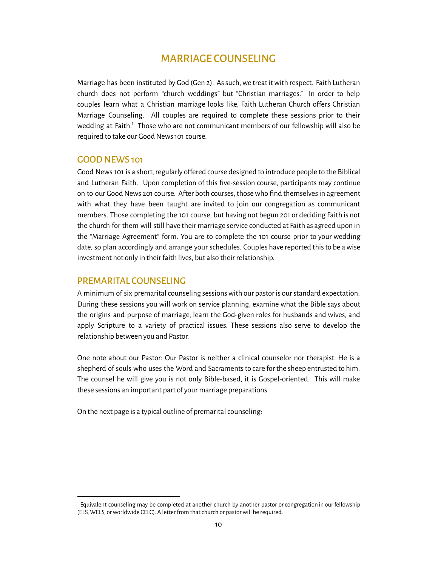## MARRIAGE COUNSELING

<span id="page-9-0"></span>Marriage has been instituted by God (Gen 2). As such, we treat it with respect. Faith Lutheran church does not perform "church weddings" but "Christian marriages." In order to help couples learn what a Christian marriage looks like, Faith Lutheran Church ofers Christian Marriage Counseling. All couples are required to complete these sessions prior to their wedding at Faith.<sup>1</sup> Those who are not communicant members of our fellowship will also be required to take our Good News 101 course.

#### <span id="page-9-1"></span>GOODNEWS 101

Good News 101 is a short, regularly offered course designed to introduce people to the Biblical and Lutheran Faith. Upon completion of this five-session course, participants may continue on to our Good News 201 course. After both courses, those who find themselves in agreement with what they have been taught are invited to join our congregation as communicant members. Those completing the 101 course, but having not begun 201 or deciding Faith is not the church for them will still have their marriage service conducted at Faith as agreed upon in the "Marriage Agreement" form. You are to complete the 101 course prior to your wedding date, so plan accordingly and arrange your schedules. Couples have reported thisto be awise investment not only in their faith lives, but also their relationship.

#### <span id="page-9-2"></span>PREMARITAL COUNSELING

A minimum of six premarital counseling sessions with our pastor is our standard expectation. During these sessions you will work on service planning, examine what the Bible says about the origins and purpose of marriage, learn the God-given roles for husbands and wives, and apply Scripture to a variety of practical issues. These sessions also serve to develop the relationship between you and Pastor.

One note about our Pastor: Our Pastor is neither a clinical counselor nor therapist. He is a shepherd of souls who uses the Word and Sacraments to care for the sheep entrusted to him. The counsel he will give you is not only Bible-based, it is Gospel-oriented. This will make these sessions an important part of your marriage preparations.

On the next page is a typical outline of premarital counseling:

<sup>1</sup> Equivalent counseling may be completed at another church by another pastor orcongregation in our fellowship (ELS, WELS, or worldwide CELC). A letter from that church or pastor will be required.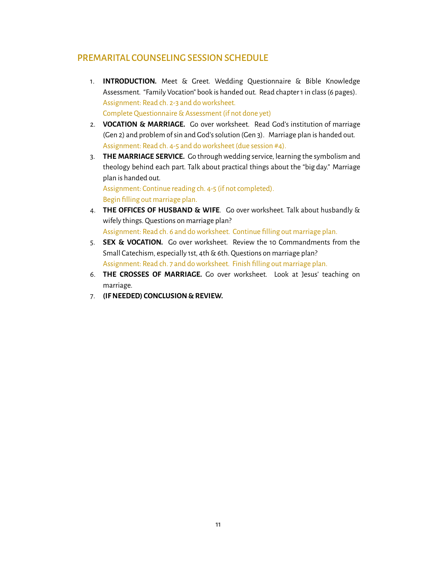#### <span id="page-10-0"></span>PREMARITAL COUNSELING SESSION SCHEDULE

- 1. **INTRODUCTION.** Meet & Greet. Wedding Questionnaire & Bible Knowledge Assessment. "Family Vocation" book is handed out. Read chapter 1 in class (6 pages). Assignment: Read ch. 2-3 and doworksheet. Complete Questionnaire&Assessment (if not done yet)
- 2. **VOCATION & MARRIAGE.** Go over worksheet. Read God's institution of marriage (Gen 2) and problem of sin and God's solution (Gen 3). Marriage plan is handed out. Assignment: Read ch. 4-5 and doworksheet (due session #4).
- 3. **THE MARRIAGE SERVICE.** Go throughwedding service, learning the symbolism and theology behind each part. Talk about practical things about the "big day." Marriage plan is handed out.

Assignment: Continue reading ch. 4-5 (if not completed). Begin filling out marriage plan.

- 4. **THE OFFICES OF HUSBAND & WIFE**. Go over worksheet. Talk about husbandly & wifely things. Questions on marriage plan? Assignment: Read ch. 6 and doworksheet. Continue filling out marriage plan.
- 5. **SEX & VOCATION.** Go over worksheet. Review the 10 Commandments from the Small Catechism, especially 1st, 4th & 6th. Questions on marriage plan? Assignment: Read ch. 7 and doworksheet. Finish filling out marriage plan.
- 6. **THE CROSSES OF MARRIAGE.** Go over worksheet. Look at Jesus' teaching on marriage.
- 7. **(IFNEEDED) CONCLUSION & REVIEW.**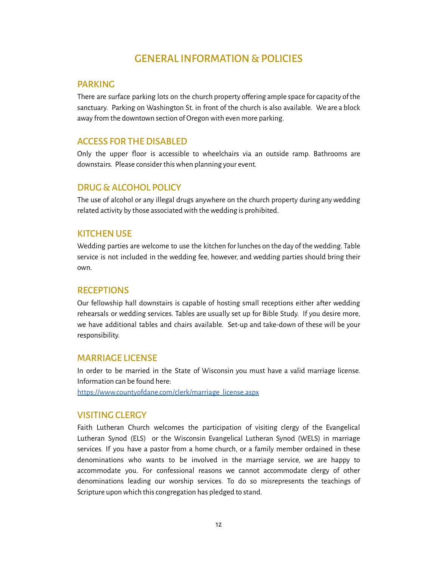## GENERAL INFORMATION & POLICIES

#### <span id="page-11-1"></span><span id="page-11-0"></span>PARKING

There are surface parking lots on the church property ofering ample space forcapacity of the sanctuary. Parking on Washington St. in front of the church is also available. We are a block away from the downtown section of Oregon with even more parking.

#### <span id="page-11-2"></span>**ACCESS FOR THE DISABLED**

Only the upper floor is accessible to wheelchairs via an outside ramp. Bathrooms are downstairs. Please consider this when planning your event.

#### <span id="page-11-3"></span>DRUG & ALCOHOL POLICY

The use of alcohol or any illegal drugs anywhere on the church property during anywedding related activity by those associated with the wedding is prohibited.

#### <span id="page-11-4"></span>**KITCHENUSE**

Wedding parties are welcome to use the kitchen for lunches on the day of thewedding. Table service is not included in the wedding fee, however, and wedding parties should bring their own.

#### <span id="page-11-5"></span>**RECEPTIONS**

Our fellowship hall downstairs is capable of hosting small receptions either after wedding rehearsals or wedding services. Tables are usually set up for Bible Study. If you desire more, we have additional tables and chairs available. Set-up and take-down of these will be your responsibility.

#### <span id="page-11-6"></span>MARRIAGE LICENSE

In order to be married in the State of Wisconsin you must have a valid marriage license. Information can be found here:

[https://www.countyofdane.com/clerk/marriage\\_license.aspx](https://www.countyofdane.com/clerk/marriage_license.aspx)

#### <span id="page-11-7"></span>VISITING CLERGY

Faith Lutheran Church welcomes the participation of visiting clergy of the Evangelical Lutheran Synod (ELS) or the Wisconsin Evangelical Lutheran Synod (WELS) in marriage services. If you have a pastor from a home church, or a family member ordained in these denominations who wants to be involved in the marriage service, we are happy to accommodate you. For confessional reasons we cannot accommodate clergy of other denominations leading our worship services. To do so misrepresents the teachings of Scripture upon which this congregation has pledged to stand.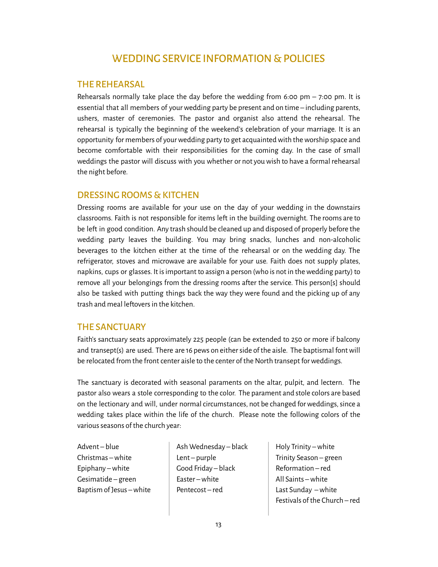## WEDDING SERVICE INFORMATION & POLICIES

#### <span id="page-12-1"></span><span id="page-12-0"></span>THE REHEARSAL

Rehearsals normally take place the day before the wedding from 6:00 pm  $-$  7:00 pm. It is essential that all members of yourwedding party be present and on time – including parents, ushers, master of ceremonies. The pastor and organist also attend the rehearsal. The rehearsal is typically the beginning of the weekend's celebration of your marriage. It is an opportunity for members of your wedding party to get acquainted with the worship space and become comfortable with their responsibilities for the coming day. In the case of small weddings the pastor will discuss with you whether or not you wish to have a formal rehearsal the night before.

#### <span id="page-12-2"></span>DRESSING ROOMS & KITCHEN

Dressing rooms are available for your use on the day of your wedding in the downstairs classrooms. Faith is not responsible for items let in the building overnight. The rooms are to be left in good condition. Any trash should be cleaned up and disposed of properly before the wedding party leaves the building. You may bring snacks, lunches and non-alcoholic beverages to the kitchen either at the time of the rehearsal or on the wedding day. The refrigerator, stoves and microwave are available for your use. Faith does not supply plates, napkins, cups or glasses. It isimportant to assign a person (who is not in thewedding party) to remove all your belongings from the dressing rooms ater the service. This person[s] should also be tasked with putting things back the way they were found and the picking up of any trash and meal leftovers in the kitchen.

#### <span id="page-12-3"></span>THE SANCTUARY

Faith's sanctuary seats approximately 225 people (can be extended to 250 or more if balcony and transept(s) are used. There are 16 pews on either side of the aisle. The baptismal font will be relocated from the front center aisle to the center of the North transept for weddings.

The sanctuary is decorated with seasonal paraments on the altar, pulpit, and lectern. The pastor also wears a stole corresponding to the color. The parament and stole colors are based on the lectionary and will, under normal circumstances, not be changed for weddings, since a wedding takes place within the life of the church. Please note the following colors of the various seasons of the church year:

Advent – blue Christmas –white Epiphany –white Gesimatide – green Baptism of Jesus –white Ash Wednesday – black Lent – purple Good Friday – black Easter –white Pentecost – red

Holy Trinity –white Trinity Season – green Reformation – red All Saints –white Last Sunday –white Festivals of the Church – red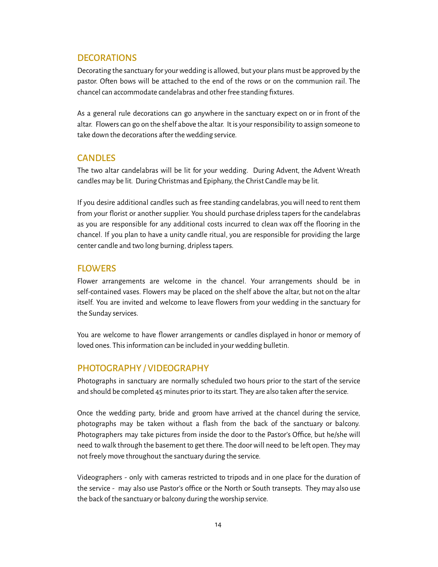#### <span id="page-13-0"></span>**DECORATIONS**

Decorating the sanctuary for yourwedding is allowed, but your plans must be approved by the pastor. Oten bows will be attached to the end of the rows or on the communion rail. The chancel can accommodate candelabras and other free standing fixtures.

As a general rule decorations can go anywhere in the sanctuary expect on or in front of the altar. Flowerscan go on the shelf above the altar. It is your responsibility to assign someone to take down the decorations after the wedding service.

#### <span id="page-13-1"></span>**CANDLES**

The two altar candelabras will be lit for your wedding. During Advent, the Advent Wreath candles may be lit. During Christmas and Epiphany, the Christ Candle may be lit.

If you desire additional candles such as free standing candelabras, youwill need to rent them from your florist or another supplier. You should purchase dripless tapers for the candelabras as you are responsible for any additional costs incurred to clean wax off the flooring in the chancel. If you plan to have a unity candle ritual, you are responsible for providing the large center candle and two long burning, dripless tapers.

#### <span id="page-13-2"></span>**FLOWERS**

Flower arrangements are welcome in the chancel. Your arrangements should be in self-contained vases. Flowers may be placed on the shelf above the altar, but not on the altar itself. You are invited and welcome to leave flowers from your wedding in the sanctuary for the Sunday services.

You are welcome to have flower arrangements or candles displayed in honor or memory of loved ones. This information can be included in your wedding bulletin.

#### <span id="page-13-3"></span>PHOTOGRAPHY / VIDEOGRAPHY

Photographs in sanctuary are normally scheduled two hours prior to the start of the service and should be completed 45 minutes prior to itsstart. They are also taken ater the service.

Once the wedding party, bride and groom have arrived at the chancel during the service, photographs may be taken without a lash from the back of the sanctuary or balcony. Photographers may take pictures from inside the door to the Pastor's Ofice, but he/she will need to walk through the basement to get there. The door will need to be left open. They may not freely move throughout the sanctuary during the service.

Videographers - only with cameras restricted to tripods and in one place for the duration of the service - may also use Pastor's ofice or the North or South transepts. They may also use the back of the sanctuary or balcony during the worship service.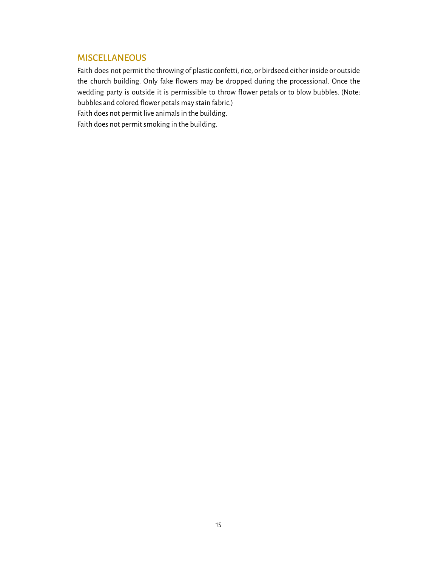#### <span id="page-14-0"></span>**MISCELLANEOUS**

Faith does not permit the throwing of plastic confetti, rice, or birdseed either inside or outside the church building. Only fake flowers may be dropped during the processional. Once the wedding party is outside it is permissible to throw flower petals or to blow bubbles. (Note: bubbles and colored flower petals may stain fabric.)

Faith does not permit live animals in the building.

Faith does not permit smoking in the building.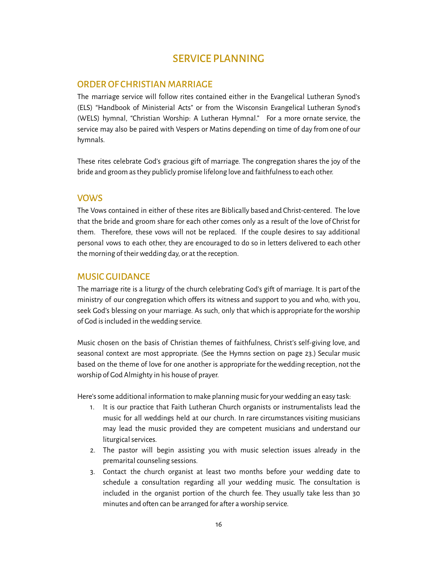## SERVICE PLANNING

#### <span id="page-15-1"></span><span id="page-15-0"></span>ORDER OF CHRISTIAN MARRIAGE

The marriage service will follow rites contained either in the Evangelical Lutheran Synod's (ELS) "Handbook of Ministerial Acts" or from the Wisconsin Evangelical Lutheran Synod's (WELS) hymnal, "Christian Worship: A Lutheran Hymnal." For a more ornate service, the service may also be paired with Vespers or Matins depending on time of day from one of our hymnals.

These rites celebrate God's gracious gift of marriage. The congregation shares the joy of the bride and groom asthey publicly promise lifelong love and faithfulnessto each other.

#### <span id="page-15-2"></span>VOWS

The Vows contained in either of these rites are Biblically based and Christ-centered. The love that the bride and groom share for each other comes only as a result of the love of Christ for them. Therefore, these vows will not be replaced. If the couple desires to say additional personal vows to each other, they are encouraged to do so in letters delivered to each other the morning of theirwedding day, or at the reception.

#### <span id="page-15-3"></span>MUSIC GUIDANCE

The marriage rite is a liturgy of the church celebrating God's git of marriage. It is part of the ministry of our congregation which offers its witness and support to you and who, with you, seek God's blessing on your marriage. As such, only that which is appropriate for theworship of God is included in the wedding service.

Music chosen on the basis of Christian themes of faithfulness, Christ's self-giving love, and seasonal context are most appropriate. (See the Hymns section on page 23.) Secular music based on the theme of love for one another is appropriate for thewedding reception, not the worship of God Almighty in his house of prayer.

Here's some additional information to make planning music for your wedding an easy task:

- 1. It is our practice that Faith Lutheran Church organists or instrumentalists lead the music for all weddings held at our church. In rare circumstances visiting musicians may lead the music provided they are competent musicians and understand our liturgical services.
- 2. The pastor will begin assisting you with music selection issues already in the premarital counseling sessions.
- 3. Contact the church organist at least two months before your wedding date to schedule a consultation regarding all your wedding music. The consultation is included in the organist portion of the church fee. They usually take less than 30 minutes and often can be arranged for after a worship service.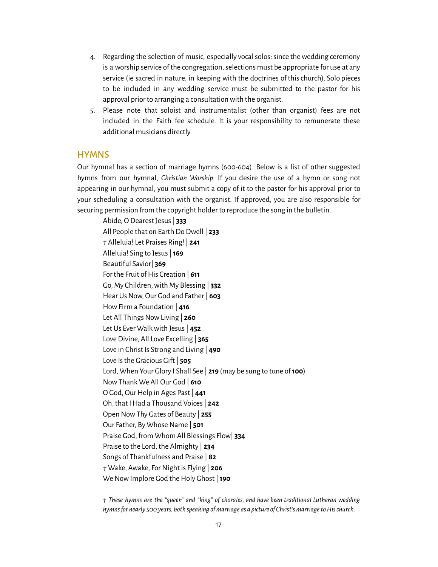- 4. Regarding the selection of music, especially vocalsolos:since thewedding ceremony is a worship service of the congregation, selections must be appropriate for use at any service (ie sacred in nature, in keeping with the doctrines of thischurch). Solo pieces to be included in any wedding service must be submitted to the pastor for his approval prior to arranging a consultation with the organist.
- 5. Please note that soloist and instrumentalist (other than organist) fees are not included in the Faith fee schedule. It is your responsibility to remunerate these additional musicians directly.

#### <span id="page-16-0"></span>**HYMNS**

Our hymnal has a section of marriage hymns (600-604). Below is a list of other suggested hymns from our hymnal, *Christian Worship*. If you desire the use of a hymn or song not appearing in our hymnal, you must submit a copy of it to the pastor for his approval prior to your scheduling a consultation with the organist. If approved, you are also responsible for securing permission from the copyright holder to reproduce the song in the bulletin.

Abide, O Dearest Jesus| **333** All People that on Earth Do Dwell | **233** *†* Alleluia! Let Praises Ring! | **241** Alleluia! Sing to Jesus|**169** Beautiful Savior| **369** For the Fruit of His Creation | 611 Go, My Children,with My Blessing | **332** Hear Us Now, Our God and Father | **603** HowFirm a Foundation | **416** Let All Things Now Living | 260 Let Us Ever Walkwith Jesus| **452** Love Divine, All Love Excelling | **365** Love in Christ Is Strong and Living | **490** Love Is the Gracious Gift | 505 Lord, When Your Glory I Shall See | **219** (may be sung to tune of**100**) NowThank We All Our God | **610** O God, Our Help in Ages Past | 441 Oh, that IHad a Thousand Voices| **242** Open NowThy Gates of Beauty | **255** Our Father, By Whose Name | 501 Praise God, from Whom All Blessings Flow| **334** Praise to the Lord, the Almighty | **234** Songs of Thankfulness and Praise | **82** *†* Wake, Awake, ForNight is Flying | **206** We Now Implore God the Holy Ghost | **190** 

*† These hymns are the "queen" and "king" of chorales, and have been traditional Lutheran wedding hymns* for nearly 500 years, both speaking of marriage as a picture of Christ's marriage to His church.